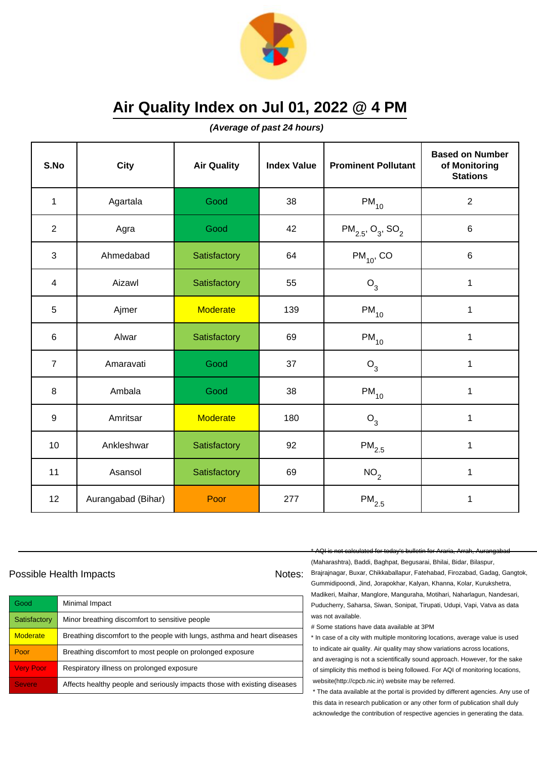

**(Average of past 24 hours)**

| S.No           | <b>City</b>        | <b>Air Quality</b> | <b>Index Value</b> | <b>Prominent Pollutant</b>                    | <b>Based on Number</b><br>of Monitoring<br><b>Stations</b> |
|----------------|--------------------|--------------------|--------------------|-----------------------------------------------|------------------------------------------------------------|
| 1              | Agartala           | Good               | 38                 | $PM_{10}$                                     | $\sqrt{2}$                                                 |
| $\overline{2}$ | Agra               | Good               | 42                 | $PM_{2.5}$ , O <sub>3</sub> , SO <sub>2</sub> | $\,6$                                                      |
| 3              | Ahmedabad          | Satisfactory       | 64                 | $PM_{10}$ , CO                                | $\,6$                                                      |
| 4              | Aizawl             | Satisfactory       | 55                 | $O_3$                                         | 1                                                          |
| 5              | Ajmer              | <b>Moderate</b>    | 139                | $PM_{10}$                                     | 1                                                          |
| $\,6\,$        | Alwar              | Satisfactory       | 69                 | $PM_{10}$                                     | 1                                                          |
| $\overline{7}$ | Amaravati          | Good               | 37                 | $O_3$                                         | 1                                                          |
| 8              | Ambala             | Good               | 38                 | $\mathsf{PM}_{10}$                            | 1                                                          |
| $9\,$          | Amritsar           | <b>Moderate</b>    | 180                | $O_3$                                         | $\mathbf{1}$                                               |
| 10             | Ankleshwar         | Satisfactory       | 92                 | $\mathsf{PM}_{2.5}$                           | 1                                                          |
| 11             | Asansol            | Satisfactory       | 69                 | NO <sub>2</sub>                               | 1                                                          |
| 12             | Aurangabad (Bihar) | Poor               | 277                | $\mathsf{PM}_{2.5}$                           | 1                                                          |

### Possible Health Impacts Notes: Notes:

| Good             | Minimal Impact                                                            |
|------------------|---------------------------------------------------------------------------|
| Satisfactory     | Minor breathing discomfort to sensitive people                            |
| <b>Moderate</b>  | Breathing discomfort to the people with lungs, asthma and heart diseases  |
| Poor             | Breathing discomfort to most people on prolonged exposure                 |
| <b>Very Poor</b> | Respiratory illness on prolonged exposure                                 |
| <b>Severe</b>    | Affects healthy people and seriously impacts those with existing diseases |

\* AQI is not calculated for today's bulletin for Araria, Arrah, Aurangabad

(Maharashtra), Baddi, Baghpat, Begusarai, Bhilai, Bidar, Bilaspur, Brajrajnagar, Buxar, Chikkaballapur, Fatehabad, Firozabad, Gadag, Gangtok, Gummidipoondi, Jind, Jorapokhar, Kalyan, Khanna, Kolar, Kurukshetra, Madikeri, Maihar, Manglore, Manguraha, Motihari, Naharlagun, Nandesari, Puducherry, Saharsa, Siwan, Sonipat, Tirupati, Udupi, Vapi, Vatva as data was not available.

# Some stations have data available at 3PM

\* In case of a city with multiple monitoring locations, average value is used to indicate air quality. Air quality may show variations across locations, and averaging is not a scientifically sound approach. However, for the sake of simplicity this method is being followed. For AQI of monitoring locations, website(http://cpcb.nic.in) website may be referred.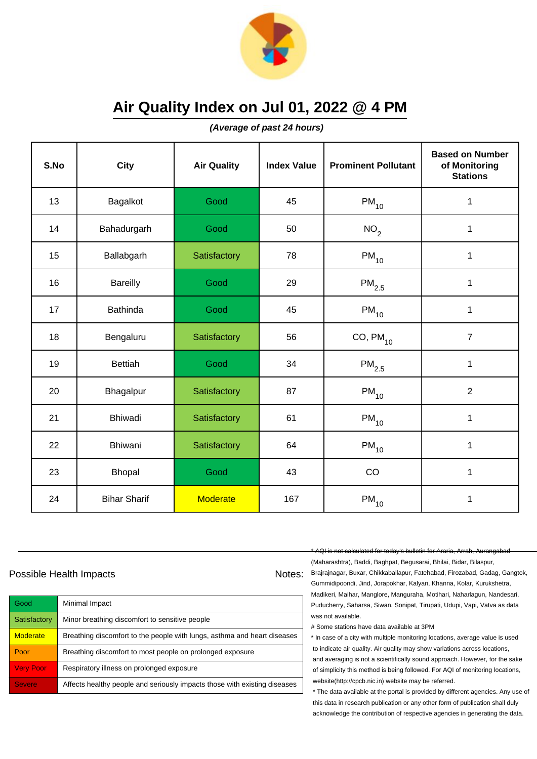

**(Average of past 24 hours)**

| S.No | <b>City</b>         | <b>Air Quality</b> | <b>Index Value</b> | <b>Prominent Pollutant</b> | <b>Based on Number</b><br>of Monitoring<br><b>Stations</b> |
|------|---------------------|--------------------|--------------------|----------------------------|------------------------------------------------------------|
| 13   | Bagalkot            | Good               | 45                 | $PM_{10}$                  | 1                                                          |
| 14   | Bahadurgarh         | Good               | 50                 | NO <sub>2</sub>            | 1                                                          |
| 15   | Ballabgarh          | Satisfactory       | 78                 | $PM_{10}$                  | 1                                                          |
| 16   | <b>Bareilly</b>     | Good               | 29                 | $\mathsf{PM}_{2.5}$        | 1                                                          |
| 17   | <b>Bathinda</b>     | Good               | 45                 | $PM_{10}$                  | 1                                                          |
| 18   | Bengaluru           | Satisfactory       | 56                 | $CO, PM_{10}$              | $\overline{7}$                                             |
| 19   | <b>Bettiah</b>      | Good               | 34                 | $\mathsf{PM}_{2.5}$        | 1                                                          |
| 20   | Bhagalpur           | Satisfactory       | 87                 | $PM_{10}$                  | $\overline{2}$                                             |
| 21   | <b>Bhiwadi</b>      | Satisfactory       | 61                 | $PM_{10}$                  | $\mathbf 1$                                                |
| 22   | Bhiwani             | Satisfactory       | 64                 | $PM_{10}$                  | 1                                                          |
| 23   | Bhopal              | Good               | 43                 | CO                         | 1                                                          |
| 24   | <b>Bihar Sharif</b> | <b>Moderate</b>    | 167                | $\mathsf{PM}_{10}$         | 1                                                          |

### Possible Health Impacts Notes: Notes:

| Good             | Minimal Impact                                                            |
|------------------|---------------------------------------------------------------------------|
| Satisfactory     | Minor breathing discomfort to sensitive people                            |
| <b>Moderate</b>  | Breathing discomfort to the people with lungs, asthma and heart diseases  |
| Poor             | Breathing discomfort to most people on prolonged exposure                 |
| <b>Very Poor</b> | Respiratory illness on prolonged exposure                                 |
| <b>Severe</b>    | Affects healthy people and seriously impacts those with existing diseases |

#### \* AQI is not calculated for today's bulletin for Araria, Arrah, Aurangabad

(Maharashtra), Baddi, Baghpat, Begusarai, Bhilai, Bidar, Bilaspur, Brajrajnagar, Buxar, Chikkaballapur, Fatehabad, Firozabad, Gadag, Gangtok, Gummidipoondi, Jind, Jorapokhar, Kalyan, Khanna, Kolar, Kurukshetra, Madikeri, Maihar, Manglore, Manguraha, Motihari, Naharlagun, Nandesari, Puducherry, Saharsa, Siwan, Sonipat, Tirupati, Udupi, Vapi, Vatva as data was not available.

# Some stations have data available at 3PM

\* In case of a city with multiple monitoring locations, average value is used to indicate air quality. Air quality may show variations across locations, and averaging is not a scientifically sound approach. However, for the sake of simplicity this method is being followed. For AQI of monitoring locations, website(http://cpcb.nic.in) website may be referred.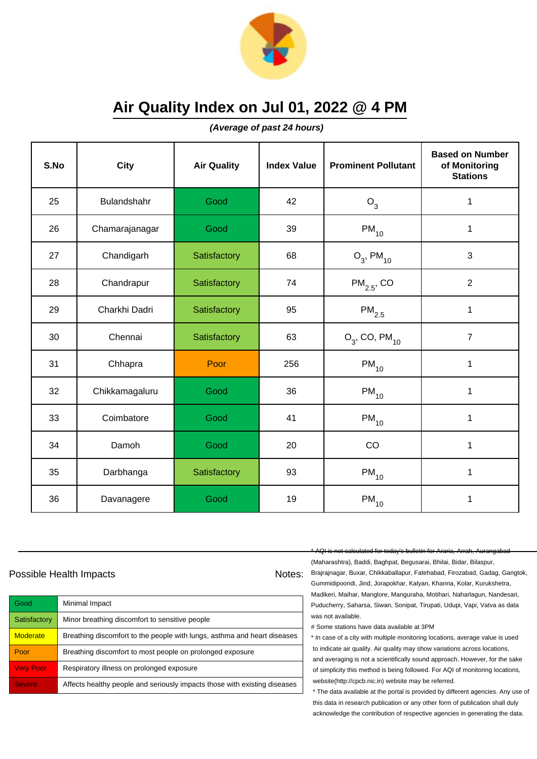

**(Average of past 24 hours)**

| S.No | City           | <b>Air Quality</b> | <b>Index Value</b> | <b>Prominent Pollutant</b>   | <b>Based on Number</b><br>of Monitoring<br><b>Stations</b> |
|------|----------------|--------------------|--------------------|------------------------------|------------------------------------------------------------|
| 25   | Bulandshahr    | Good               | 42                 | $O_3$                        | 1                                                          |
| 26   | Chamarajanagar | Good               | 39                 | $PM_{10}$                    | 1                                                          |
| 27   | Chandigarh     | Satisfactory       | 68                 | $O_3$ , PM <sub>10</sub>     | 3                                                          |
| 28   | Chandrapur     | Satisfactory       | 74                 | $PM_{2.5}$ , CO              | $\overline{2}$                                             |
| 29   | Charkhi Dadri  | Satisfactory       | 95                 | $\mathsf{PM}_{2.5}$          | $\mathbf{1}$                                               |
| 30   | Chennai        | Satisfactory       | 63                 | $O_3$ , CO, PM <sub>10</sub> | $\overline{7}$                                             |
| 31   | Chhapra        | Poor               | 256                | $PM_{10}$                    | 1                                                          |
| 32   | Chikkamagaluru | Good               | 36                 | $PM_{10}$                    | $\mathbf{1}$                                               |
| 33   | Coimbatore     | Good               | 41                 | $PM_{10}$                    | $\mathbf 1$                                                |
| 34   | Damoh          | Good               | 20                 | CO                           | $\mathbf{1}$                                               |
| 35   | Darbhanga      | Satisfactory       | 93                 | $PM_{10}$                    | $\mathbf{1}$                                               |
| 36   | Davanagere     | Good               | 19                 | $PM_{10}$                    | 1                                                          |

### Possible Health Impacts Notes: Notes:

| Good             | Minimal Impact                                                            |
|------------------|---------------------------------------------------------------------------|
| Satisfactory     | Minor breathing discomfort to sensitive people                            |
| <b>Moderate</b>  | Breathing discomfort to the people with lungs, asthma and heart diseases  |
| Poor             | Breathing discomfort to most people on prolonged exposure                 |
| <b>Very Poor</b> | Respiratory illness on prolonged exposure                                 |
| <b>Severe</b>    | Affects healthy people and seriously impacts those with existing diseases |

\* AQI is not calculated for today's bulletin for Araria, Arrah, Aurangabad

(Maharashtra), Baddi, Baghpat, Begusarai, Bhilai, Bidar, Bilaspur, Brajrajnagar, Buxar, Chikkaballapur, Fatehabad, Firozabad, Gadag, Gangtok, Gummidipoondi, Jind, Jorapokhar, Kalyan, Khanna, Kolar, Kurukshetra, Madikeri, Maihar, Manglore, Manguraha, Motihari, Naharlagun, Nandesari, Puducherry, Saharsa, Siwan, Sonipat, Tirupati, Udupi, Vapi, Vatva as data was not available.

# Some stations have data available at 3PM

\* In case of a city with multiple monitoring locations, average value is used to indicate air quality. Air quality may show variations across locations, and averaging is not a scientifically sound approach. However, for the sake of simplicity this method is being followed. For AQI of monitoring locations, website(http://cpcb.nic.in) website may be referred.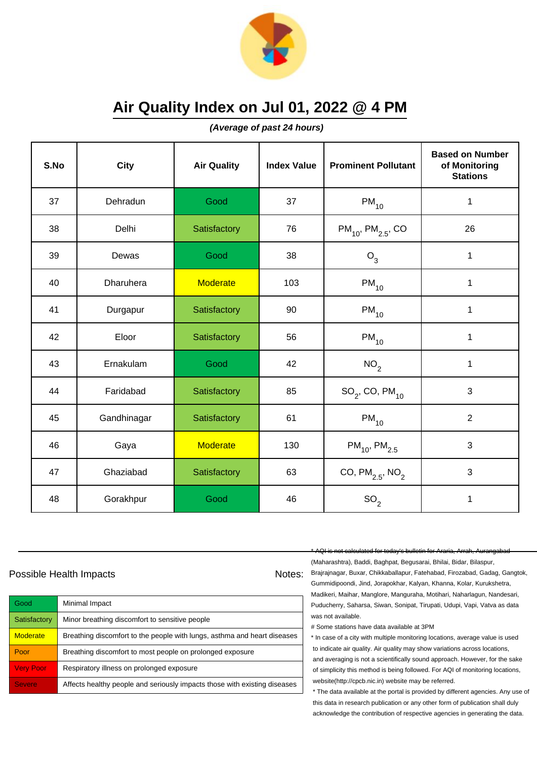

**(Average of past 24 hours)**

| S.No | City        | <b>Air Quality</b> | <b>Index Value</b> | <b>Prominent Pollutant</b>         | <b>Based on Number</b><br>of Monitoring<br><b>Stations</b> |
|------|-------------|--------------------|--------------------|------------------------------------|------------------------------------------------------------|
| 37   | Dehradun    | Good               | 37                 | $PM_{10}$                          | 1                                                          |
| 38   | Delhi       | Satisfactory       | 76                 | $PM_{10}$ , PM <sub>2.5</sub> , CO | 26                                                         |
| 39   | Dewas       | Good               | 38                 | $O_3$                              | $\mathbf 1$                                                |
| 40   | Dharuhera   | Moderate           | 103                | $PM_{10}$                          | $\mathbf 1$                                                |
| 41   | Durgapur    | Satisfactory       | 90                 | $PM_{10}$                          | $\mathbf 1$                                                |
| 42   | Eloor       | Satisfactory       | 56                 | $PM_{10}$                          | 1                                                          |
| 43   | Ernakulam   | Good               | 42                 | NO <sub>2</sub>                    | $\mathbf{1}$                                               |
| 44   | Faridabad   | Satisfactory       | 85                 | $SO_2$ , CO, PM $_{10}$            | 3                                                          |
| 45   | Gandhinagar | Satisfactory       | 61                 | $PM_{10}$                          | $\overline{2}$                                             |
| 46   | Gaya        | <b>Moderate</b>    | 130                | $PM_{10}$ , PM <sub>2.5</sub>      | 3                                                          |
| 47   | Ghaziabad   | Satisfactory       | 63                 | CO, $PM_{2.5}$ , NO <sub>2</sub>   | 3                                                          |
| 48   | Gorakhpur   | Good               | 46                 | SO <sub>2</sub>                    | 1                                                          |

### Possible Health Impacts Notes: Notes:

| Good             | Minimal Impact                                                            |
|------------------|---------------------------------------------------------------------------|
| Satisfactory     | Minor breathing discomfort to sensitive people                            |
| <b>Moderate</b>  | Breathing discomfort to the people with lungs, asthma and heart diseases  |
| Poor             | Breathing discomfort to most people on prolonged exposure                 |
| <b>Very Poor</b> | Respiratory illness on prolonged exposure                                 |
| <b>Severe</b>    | Affects healthy people and seriously impacts those with existing diseases |

\* AQI is not calculated for today's bulletin for Araria, Arrah, Aurangabad

(Maharashtra), Baddi, Baghpat, Begusarai, Bhilai, Bidar, Bilaspur, Brajrajnagar, Buxar, Chikkaballapur, Fatehabad, Firozabad, Gadag, Gangtok, Gummidipoondi, Jind, Jorapokhar, Kalyan, Khanna, Kolar, Kurukshetra, Madikeri, Maihar, Manglore, Manguraha, Motihari, Naharlagun, Nandesari, Puducherry, Saharsa, Siwan, Sonipat, Tirupati, Udupi, Vapi, Vatva as data was not available.

# Some stations have data available at 3PM

\* In case of a city with multiple monitoring locations, average value is used to indicate air quality. Air quality may show variations across locations, and averaging is not a scientifically sound approach. However, for the sake of simplicity this method is being followed. For AQI of monitoring locations, website(http://cpcb.nic.in) website may be referred.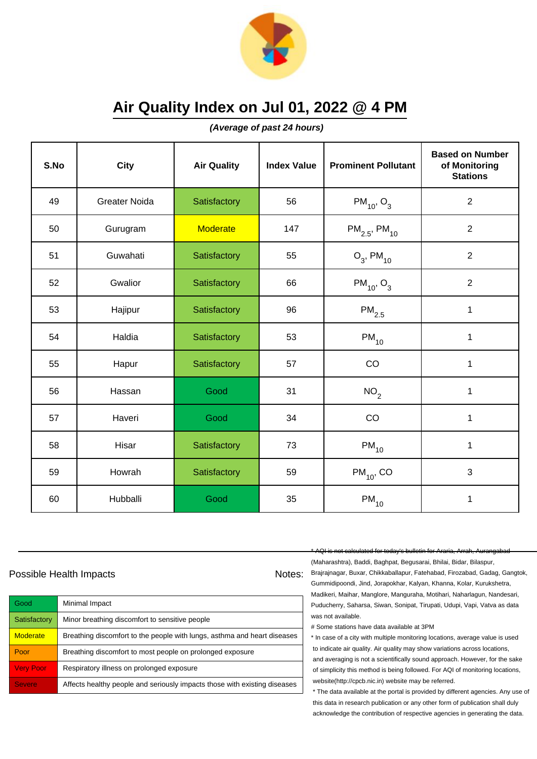

**(Average of past 24 hours)**

| S.No | <b>City</b>          | <b>Air Quality</b> | <b>Index Value</b> | <b>Prominent Pollutant</b>    | <b>Based on Number</b><br>of Monitoring<br><b>Stations</b> |
|------|----------------------|--------------------|--------------------|-------------------------------|------------------------------------------------------------|
| 49   | <b>Greater Noida</b> | Satisfactory       | 56                 | $PM_{10}$ , O <sub>3</sub>    | $\overline{2}$                                             |
| 50   | Gurugram             | <b>Moderate</b>    | 147                | $PM_{2.5}$ , PM <sub>10</sub> | 2                                                          |
| 51   | Guwahati             | Satisfactory       | 55                 | $O_3$ , PM <sub>10</sub>      | $\overline{2}$                                             |
| 52   | Gwalior              | Satisfactory       | 66                 | $PM_{10}$ , O <sub>3</sub>    | $\overline{2}$                                             |
| 53   | Hajipur              | Satisfactory       | 96                 | $\mathsf{PM}_{2.5}$           | 1                                                          |
| 54   | Haldia               | Satisfactory       | 53                 | $PM_{10}$                     | 1                                                          |
| 55   | Hapur                | Satisfactory       | 57                 | CO                            | 1                                                          |
| 56   | Hassan               | Good               | 31                 | NO <sub>2</sub>               | 1                                                          |
| 57   | Haveri               | Good               | 34                 | CO                            | $\mathbf{1}$                                               |
| 58   | Hisar                | Satisfactory       | 73                 | $PM_{10}$                     | 1                                                          |
| 59   | Howrah               | Satisfactory       | 59                 | $PM_{10}$ , CO                | 3                                                          |
| 60   | Hubballi             | Good               | 35                 | $PM_{10}$                     | 1                                                          |

### Possible Health Impacts Notes: Notes:

| Good             | Minimal Impact                                                            |
|------------------|---------------------------------------------------------------------------|
| Satisfactory     | Minor breathing discomfort to sensitive people                            |
| <b>Moderate</b>  | Breathing discomfort to the people with lungs, asthma and heart diseases  |
| Poor             | Breathing discomfort to most people on prolonged exposure                 |
| <b>Very Poor</b> | Respiratory illness on prolonged exposure                                 |
| <b>Severe</b>    | Affects healthy people and seriously impacts those with existing diseases |

\* AQI is not calculated for today's bulletin for Araria, Arrah, Aurangabad

(Maharashtra), Baddi, Baghpat, Begusarai, Bhilai, Bidar, Bilaspur, Brajrajnagar, Buxar, Chikkaballapur, Fatehabad, Firozabad, Gadag, Gangtok, Gummidipoondi, Jind, Jorapokhar, Kalyan, Khanna, Kolar, Kurukshetra, Madikeri, Maihar, Manglore, Manguraha, Motihari, Naharlagun, Nandesari, Puducherry, Saharsa, Siwan, Sonipat, Tirupati, Udupi, Vapi, Vatva as data was not available.

# Some stations have data available at 3PM

\* In case of a city with multiple monitoring locations, average value is used to indicate air quality. Air quality may show variations across locations, and averaging is not a scientifically sound approach. However, for the sake of simplicity this method is being followed. For AQI of monitoring locations, website(http://cpcb.nic.in) website may be referred.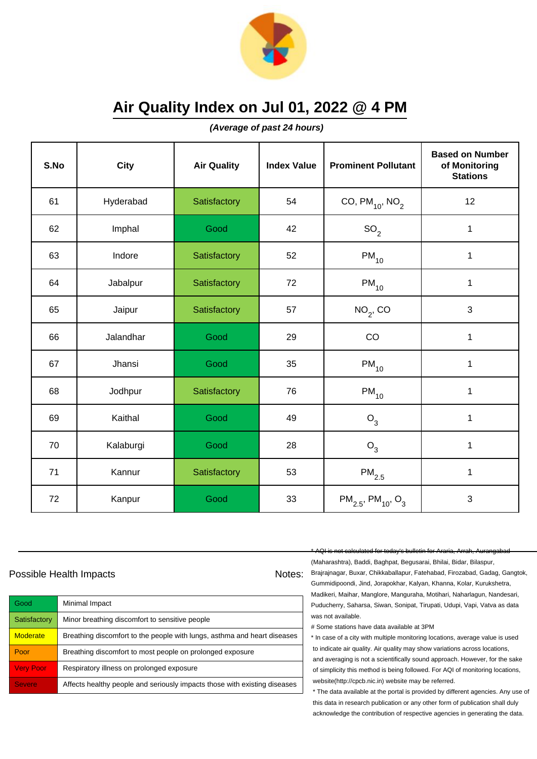

**(Average of past 24 hours)**

| S.No | City      | <b>Air Quality</b> | <b>Index Value</b> | <b>Prominent Pollutant</b>                     | <b>Based on Number</b><br>of Monitoring<br><b>Stations</b> |
|------|-----------|--------------------|--------------------|------------------------------------------------|------------------------------------------------------------|
| 61   | Hyderabad | Satisfactory       | 54                 | CO, $PM_{10}$ , NO <sub>2</sub>                | 12                                                         |
| 62   | Imphal    | Good               | 42                 | SO <sub>2</sub>                                | $\mathbf 1$                                                |
| 63   | Indore    | Satisfactory       | 52                 | $PM_{10}$                                      | 1                                                          |
| 64   | Jabalpur  | Satisfactory       | 72                 | $PM_{10}$                                      | $\mathbf 1$                                                |
| 65   | Jaipur    | Satisfactory       | 57                 | $NO2$ , CO                                     | 3                                                          |
| 66   | Jalandhar | Good               | 29                 | CO                                             | $\mathbf 1$                                                |
| 67   | Jhansi    | Good               | 35                 | $\mathsf{PM}_{10}$                             | 1                                                          |
| 68   | Jodhpur   | Satisfactory       | 76                 | $\mathsf{PM}_{10}$                             | 1                                                          |
| 69   | Kaithal   | Good               | 49                 | O <sub>3</sub>                                 | $\mathbf 1$                                                |
| 70   | Kalaburgi | Good               | 28                 | $O_3$                                          | 1                                                          |
| 71   | Kannur    | Satisfactory       | 53                 | $\mathsf{PM}_{2.5}$                            | $\mathbf{1}$                                               |
| 72   | Kanpur    | Good               | 33                 | $PM_{2.5}$ , PM <sub>10</sub> , O <sub>3</sub> | 3                                                          |

### Possible Health Impacts Notes: Notes:

| Good             | Minimal Impact                                                            |
|------------------|---------------------------------------------------------------------------|
| Satisfactory     | Minor breathing discomfort to sensitive people                            |
| <b>Moderate</b>  | Breathing discomfort to the people with lungs, asthma and heart diseases  |
| Poor             | Breathing discomfort to most people on prolonged exposure                 |
| <b>Very Poor</b> | Respiratory illness on prolonged exposure                                 |
| <b>Severe</b>    | Affects healthy people and seriously impacts those with existing diseases |

\* AQI is not calculated for today's bulletin for Araria, Arrah, Aurangabad

(Maharashtra), Baddi, Baghpat, Begusarai, Bhilai, Bidar, Bilaspur, Brajrajnagar, Buxar, Chikkaballapur, Fatehabad, Firozabad, Gadag, Gangtok, Gummidipoondi, Jind, Jorapokhar, Kalyan, Khanna, Kolar, Kurukshetra, Madikeri, Maihar, Manglore, Manguraha, Motihari, Naharlagun, Nandesari, Puducherry, Saharsa, Siwan, Sonipat, Tirupati, Udupi, Vapi, Vatva as data was not available.

# Some stations have data available at 3PM

\* In case of a city with multiple monitoring locations, average value is used to indicate air quality. Air quality may show variations across locations, and averaging is not a scientifically sound approach. However, for the sake of simplicity this method is being followed. For AQI of monitoring locations, website(http://cpcb.nic.in) website may be referred.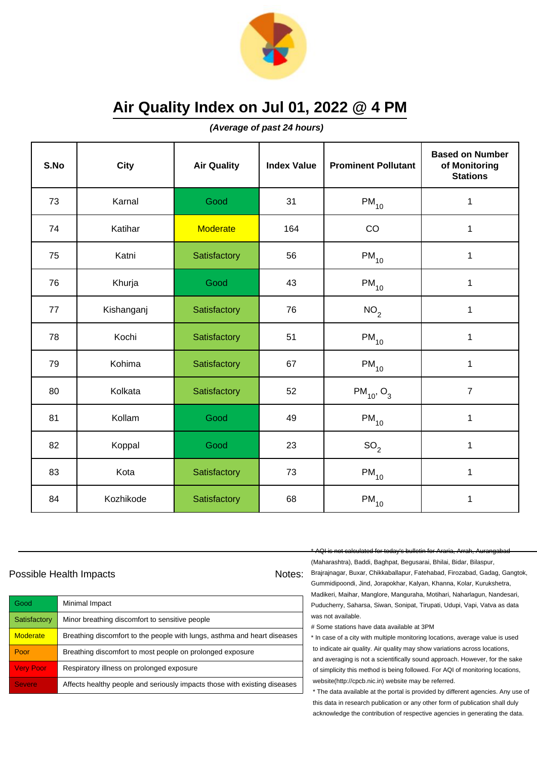

**(Average of past 24 hours)**

| S.No | <b>City</b> | <b>Air Quality</b> | <b>Index Value</b> | <b>Prominent Pollutant</b> | <b>Based on Number</b><br>of Monitoring<br><b>Stations</b> |
|------|-------------|--------------------|--------------------|----------------------------|------------------------------------------------------------|
| 73   | Karnal      | Good               | 31                 | $PM_{10}$                  | 1                                                          |
| 74   | Katihar     | <b>Moderate</b>    | 164                | CO                         | $\mathbf{1}$                                               |
| 75   | Katni       | Satisfactory       | 56                 | $PM_{10}$                  | 1                                                          |
| 76   | Khurja      | Good               | 43                 | $PM_{10}$                  | $\mathbf{1}$                                               |
| 77   | Kishanganj  | Satisfactory       | 76                 | NO <sub>2</sub>            | $\mathbf 1$                                                |
| 78   | Kochi       | Satisfactory       | 51                 | $PM_{10}$                  | 1                                                          |
| 79   | Kohima      | Satisfactory       | 67                 | $PM_{10}$                  | $\mathbf 1$                                                |
| 80   | Kolkata     | Satisfactory       | 52                 | $PM_{10}$ , O <sub>3</sub> | $\overline{7}$                                             |
| 81   | Kollam      | Good               | 49                 | $PM_{10}$                  | $\mathbf{1}$                                               |
| 82   | Koppal      | Good               | 23                 | SO <sub>2</sub>            | $\mathbf 1$                                                |
| 83   | Kota        | Satisfactory       | 73                 | $PM_{10}$                  | 1                                                          |
| 84   | Kozhikode   | Satisfactory       | 68                 | $PM_{10}$                  | $\mathbf 1$                                                |

### Possible Health Impacts Notes: Notes:

| Good             | Minimal Impact                                                            |
|------------------|---------------------------------------------------------------------------|
| Satisfactory     | Minor breathing discomfort to sensitive people                            |
| <b>Moderate</b>  | Breathing discomfort to the people with lungs, asthma and heart diseases  |
| Poor             | Breathing discomfort to most people on prolonged exposure                 |
| <b>Very Poor</b> | Respiratory illness on prolonged exposure                                 |
| <b>Severe</b>    | Affects healthy people and seriously impacts those with existing diseases |

#### \* AQI is not calculated for today's bulletin for Araria, Arrah, Aurangabad

(Maharashtra), Baddi, Baghpat, Begusarai, Bhilai, Bidar, Bilaspur, Brajrajnagar, Buxar, Chikkaballapur, Fatehabad, Firozabad, Gadag, Gangtok, Gummidipoondi, Jind, Jorapokhar, Kalyan, Khanna, Kolar, Kurukshetra, Madikeri, Maihar, Manglore, Manguraha, Motihari, Naharlagun, Nandesari, Puducherry, Saharsa, Siwan, Sonipat, Tirupati, Udupi, Vapi, Vatva as data was not available.

# Some stations have data available at 3PM

\* In case of a city with multiple monitoring locations, average value is used to indicate air quality. Air quality may show variations across locations, and averaging is not a scientifically sound approach. However, for the sake of simplicity this method is being followed. For AQI of monitoring locations, website(http://cpcb.nic.in) website may be referred.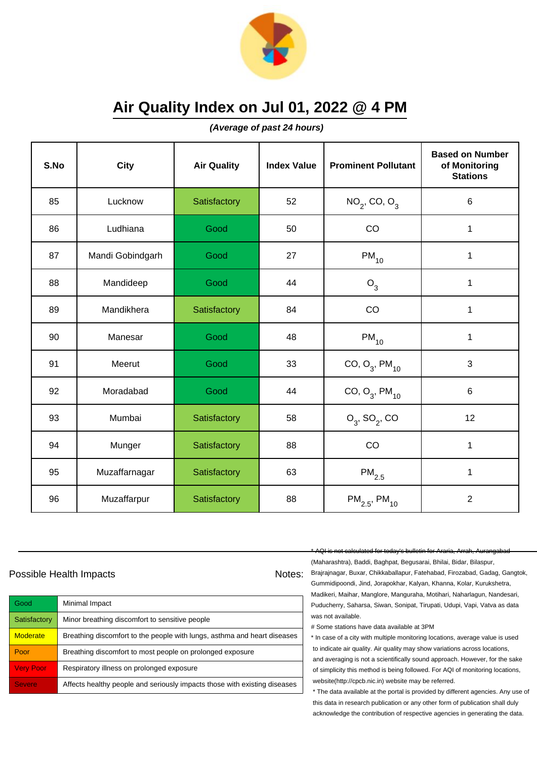

**(Average of past 24 hours)**

| S.No | <b>City</b>      | <b>Air Quality</b> | <b>Index Value</b> | <b>Prominent Pollutant</b>    | <b>Based on Number</b><br>of Monitoring<br><b>Stations</b> |
|------|------------------|--------------------|--------------------|-------------------------------|------------------------------------------------------------|
| 85   | Lucknow          | Satisfactory       | 52                 | $NO_2$ , CO, $O_3$            | $6\phantom{1}$                                             |
| 86   | Ludhiana         | Good               | 50                 | CO                            | 1                                                          |
| 87   | Mandi Gobindgarh | Good               | 27                 | $PM_{10}$                     | 1                                                          |
| 88   | Mandideep        | Good               | 44                 | O <sub>3</sub>                | 1                                                          |
| 89   | Mandikhera       | Satisfactory       | 84                 | CO                            | $\mathbf{1}$                                               |
| 90   | Manesar          | Good               | 48                 | $PM_{10}$                     | 1                                                          |
| 91   | Meerut           | Good               | 33                 | CO, $O_3$ , PM <sub>10</sub>  | $\mathbf{3}$                                               |
| 92   | Moradabad        | Good               | 44                 | CO, $O_3$ , PM <sub>10</sub>  | $\,6$                                                      |
| 93   | Mumbai           | Satisfactory       | 58                 | $O_3$ , SO <sub>2</sub> , CO  | 12                                                         |
| 94   | Munger           | Satisfactory       | 88                 | CO                            | 1                                                          |
| 95   | Muzaffarnagar    | Satisfactory       | 63                 | $\mathsf{PM}_{2.5}$           | 1                                                          |
| 96   | Muzaffarpur      | Satisfactory       | 88                 | $PM_{2.5}$ , PM <sub>10</sub> | $\overline{2}$                                             |

### Possible Health Impacts Notes: Notes:

| Good                | Minimal Impact                                                            |
|---------------------|---------------------------------------------------------------------------|
| Satisfactory        | Minor breathing discomfort to sensitive people                            |
| <b>Moderate</b>     | Breathing discomfort to the people with lungs, asthma and heart diseases  |
| Poor                | Breathing discomfort to most people on prolonged exposure                 |
| <b>Very Poor</b>    | Respiratory illness on prolonged exposure                                 |
| Severe <sup>'</sup> | Affects healthy people and seriously impacts those with existing diseases |

#### \* AQI is not calculated for today's bulletin for Araria, Arrah, Aurangabad

(Maharashtra), Baddi, Baghpat, Begusarai, Bhilai, Bidar, Bilaspur, Brajrajnagar, Buxar, Chikkaballapur, Fatehabad, Firozabad, Gadag, Gangtok, Gummidipoondi, Jind, Jorapokhar, Kalyan, Khanna, Kolar, Kurukshetra, Madikeri, Maihar, Manglore, Manguraha, Motihari, Naharlagun, Nandesari, Puducherry, Saharsa, Siwan, Sonipat, Tirupati, Udupi, Vapi, Vatva as data was not available.

# Some stations have data available at 3PM

\* In case of a city with multiple monitoring locations, average value is used to indicate air quality. Air quality may show variations across locations, and averaging is not a scientifically sound approach. However, for the sake of simplicity this method is being followed. For AQI of monitoring locations, website(http://cpcb.nic.in) website may be referred.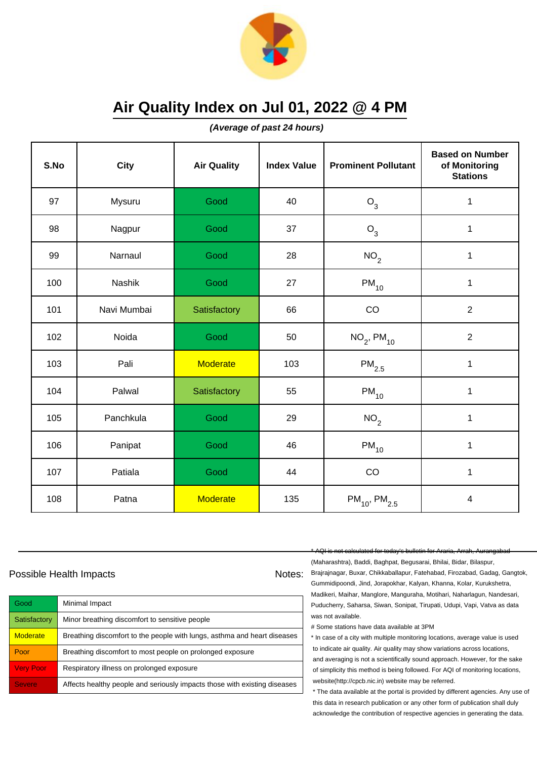

**(Average of past 24 hours)**

| S.No | <b>City</b> | <b>Air Quality</b> | <b>Index Value</b> | <b>Prominent Pollutant</b>    | <b>Based on Number</b><br>of Monitoring<br><b>Stations</b> |
|------|-------------|--------------------|--------------------|-------------------------------|------------------------------------------------------------|
| 97   | Mysuru      | Good               | 40                 | $O_3$                         | 1                                                          |
| 98   | Nagpur      | Good               | 37                 | $O_3$                         | $\mathbf{1}$                                               |
| 99   | Narnaul     | Good               | 28                 | NO <sub>2</sub>               | 1                                                          |
| 100  | Nashik      | Good               | 27                 | $PM_{10}$                     | $\mathbf{1}$                                               |
| 101  | Navi Mumbai | Satisfactory       | 66                 | CO                            | $\sqrt{2}$                                                 |
| 102  | Noida       | Good               | 50                 | $NO_{2}$ , PM <sub>10</sub>   | $\overline{2}$                                             |
| 103  | Pali        | <b>Moderate</b>    | 103                | $PM_{2.5}$                    | 1                                                          |
| 104  | Palwal      | Satisfactory       | 55                 | $PM_{10}$                     | 1                                                          |
| 105  | Panchkula   | Good               | 29                 | NO <sub>2</sub>               | 1                                                          |
| 106  | Panipat     | Good               | 46                 | $PM_{10}$                     | 1                                                          |
| 107  | Patiala     | Good               | 44                 | CO                            | $\mathbf{1}$                                               |
| 108  | Patna       | <b>Moderate</b>    | 135                | $PM_{10}$ , PM <sub>2.5</sub> | $\overline{4}$                                             |

### Possible Health Impacts Notes: Notes:

| Good             | Minimal Impact                                                            |
|------------------|---------------------------------------------------------------------------|
| Satisfactory     | Minor breathing discomfort to sensitive people                            |
| <b>Moderate</b>  | Breathing discomfort to the people with lungs, asthma and heart diseases  |
| Poor             | Breathing discomfort to most people on prolonged exposure                 |
| <b>Very Poor</b> | Respiratory illness on prolonged exposure                                 |
| <b>Severe</b>    | Affects healthy people and seriously impacts those with existing diseases |

\* AQI is not calculated for today's bulletin for Araria, Arrah, Aurangabad

(Maharashtra), Baddi, Baghpat, Begusarai, Bhilai, Bidar, Bilaspur, Brajrajnagar, Buxar, Chikkaballapur, Fatehabad, Firozabad, Gadag, Gangtok, Gummidipoondi, Jind, Jorapokhar, Kalyan, Khanna, Kolar, Kurukshetra, Madikeri, Maihar, Manglore, Manguraha, Motihari, Naharlagun, Nandesari, Puducherry, Saharsa, Siwan, Sonipat, Tirupati, Udupi, Vapi, Vatva as data was not available.

# Some stations have data available at 3PM

\* In case of a city with multiple monitoring locations, average value is used to indicate air quality. Air quality may show variations across locations, and averaging is not a scientifically sound approach. However, for the sake of simplicity this method is being followed. For AQI of monitoring locations, website(http://cpcb.nic.in) website may be referred.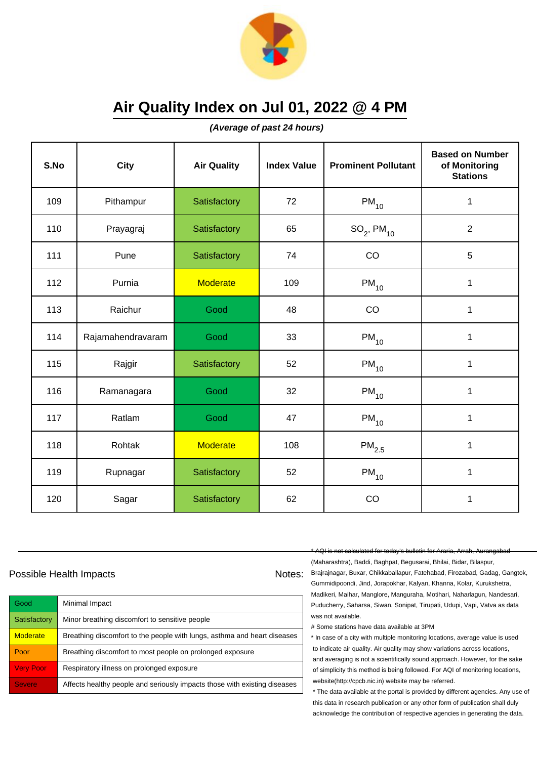

**(Average of past 24 hours)**

| S.No | <b>City</b>       | <b>Air Quality</b> | <b>Index Value</b> | <b>Prominent Pollutant</b> | <b>Based on Number</b><br>of Monitoring<br><b>Stations</b> |
|------|-------------------|--------------------|--------------------|----------------------------|------------------------------------------------------------|
| 109  | Pithampur         | Satisfactory       | 72                 | $PM_{10}$                  | $\mathbf 1$                                                |
| 110  | Prayagraj         | Satisfactory       | 65                 | $SO_2$ , PM <sub>10</sub>  | $\overline{2}$                                             |
| 111  | Pune              | Satisfactory       | 74                 | CO                         | 5                                                          |
| 112  | Purnia            | <b>Moderate</b>    | 109                | $PM_{10}$                  | 1                                                          |
| 113  | Raichur           | Good               | 48                 | CO                         | 1                                                          |
| 114  | Rajamahendravaram | Good               | 33                 | $PM_{10}$                  | 1                                                          |
| 115  | Rajgir            | Satisfactory       | 52                 | $PM_{10}$                  | 1                                                          |
| 116  | Ramanagara        | Good               | 32                 | $PM_{10}$                  | $\mathbf{1}$                                               |
| 117  | Ratlam            | Good               | 47                 | $PM_{10}$                  | $\mathbf 1$                                                |
| 118  | Rohtak            | <b>Moderate</b>    | 108                | $PM_{2.5}$                 | 1                                                          |
| 119  | Rupnagar          | Satisfactory       | 52                 | $PM_{10}$                  | 1                                                          |
| 120  | Sagar             | Satisfactory       | 62                 | CO                         | 1                                                          |

### Possible Health Impacts Notes: Notes:

| Good             | Minimal Impact                                                            |
|------------------|---------------------------------------------------------------------------|
| Satisfactory     | Minor breathing discomfort to sensitive people                            |
| <b>Moderate</b>  | Breathing discomfort to the people with lungs, asthma and heart diseases  |
| Poor             | Breathing discomfort to most people on prolonged exposure                 |
| <b>Very Poor</b> | Respiratory illness on prolonged exposure                                 |
| <b>Severe</b>    | Affects healthy people and seriously impacts those with existing diseases |

\* AQI is not calculated for today's bulletin for Araria, Arrah, Aurangabad

(Maharashtra), Baddi, Baghpat, Begusarai, Bhilai, Bidar, Bilaspur, Brajrajnagar, Buxar, Chikkaballapur, Fatehabad, Firozabad, Gadag, Gangtok, Gummidipoondi, Jind, Jorapokhar, Kalyan, Khanna, Kolar, Kurukshetra, Madikeri, Maihar, Manglore, Manguraha, Motihari, Naharlagun, Nandesari, Puducherry, Saharsa, Siwan, Sonipat, Tirupati, Udupi, Vapi, Vatva as data was not available.

# Some stations have data available at 3PM

\* In case of a city with multiple monitoring locations, average value is used to indicate air quality. Air quality may show variations across locations, and averaging is not a scientifically sound approach. However, for the sake of simplicity this method is being followed. For AQI of monitoring locations, website(http://cpcb.nic.in) website may be referred.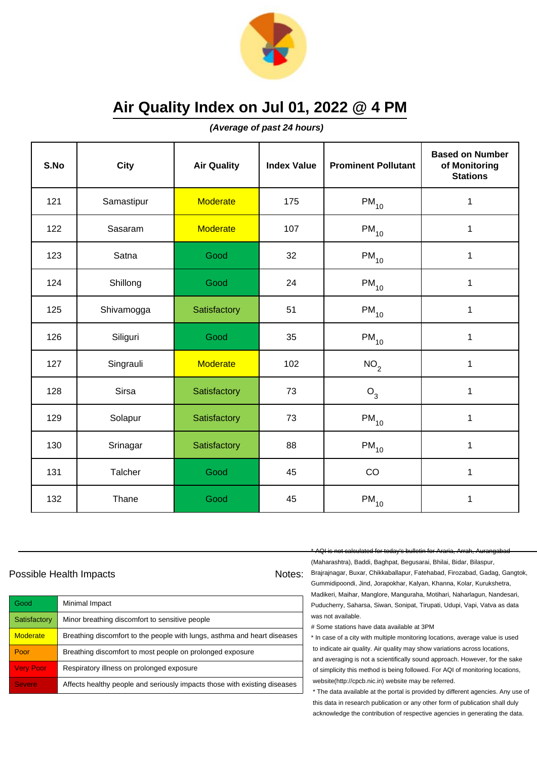

**(Average of past 24 hours)**

| S.No | <b>City</b> | <b>Air Quality</b> | <b>Index Value</b> | <b>Prominent Pollutant</b> | <b>Based on Number</b><br>of Monitoring<br><b>Stations</b> |
|------|-------------|--------------------|--------------------|----------------------------|------------------------------------------------------------|
| 121  | Samastipur  | <b>Moderate</b>    | 175                | $PM_{10}$                  | 1                                                          |
| 122  | Sasaram     | <b>Moderate</b>    | 107                | $\mathsf{PM}_{10}$         | 1                                                          |
| 123  | Satna       | Good               | 32                 | $PM_{10}$                  | 1                                                          |
| 124  | Shillong    | Good               | 24                 | $PM_{10}$                  | 1                                                          |
| 125  | Shivamogga  | Satisfactory       | 51                 | $PM_{10}$                  | $\mathbf{1}$                                               |
| 126  | Siliguri    | Good               | 35                 | $\mathsf{PM}_{10}$         | 1                                                          |
| 127  | Singrauli   | <b>Moderate</b>    | 102                | NO <sub>2</sub>            | 1                                                          |
| 128  | Sirsa       | Satisfactory       | 73                 | $O_3$                      | 1                                                          |
| 129  | Solapur     | Satisfactory       | 73                 | $\mathsf{PM}_{10}$         | 1                                                          |
| 130  | Srinagar    | Satisfactory       | 88                 | $PM_{10}$                  | 1                                                          |
| 131  | Talcher     | Good               | 45                 | CO                         | 1                                                          |
| 132  | Thane       | Good               | 45                 | $PM_{10}$                  | 1                                                          |

### Possible Health Impacts Notes: Notes:

| Good             | Minimal Impact                                                            |
|------------------|---------------------------------------------------------------------------|
| Satisfactory     | Minor breathing discomfort to sensitive people                            |
| <b>Moderate</b>  | Breathing discomfort to the people with lungs, asthma and heart diseases  |
| Poor             | Breathing discomfort to most people on prolonged exposure                 |
| <b>Very Poor</b> | Respiratory illness on prolonged exposure                                 |
| <b>Severe</b>    | Affects healthy people and seriously impacts those with existing diseases |

\* AQI is not calculated for today's bulletin for Araria, Arrah, Aurangabad

(Maharashtra), Baddi, Baghpat, Begusarai, Bhilai, Bidar, Bilaspur, Brajrajnagar, Buxar, Chikkaballapur, Fatehabad, Firozabad, Gadag, Gangtok, Gummidipoondi, Jind, Jorapokhar, Kalyan, Khanna, Kolar, Kurukshetra, Madikeri, Maihar, Manglore, Manguraha, Motihari, Naharlagun, Nandesari, Puducherry, Saharsa, Siwan, Sonipat, Tirupati, Udupi, Vapi, Vatva as data was not available.

# Some stations have data available at 3PM

\* In case of a city with multiple monitoring locations, average value is used to indicate air quality. Air quality may show variations across locations, and averaging is not a scientifically sound approach. However, for the sake of simplicity this method is being followed. For AQI of monitoring locations, website(http://cpcb.nic.in) website may be referred.